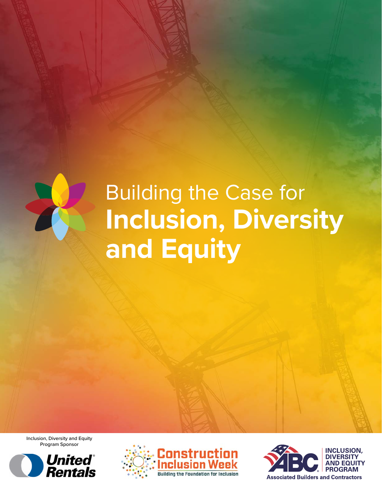

# Building the Case for **Inclusion, Diversity and Equity**

Inclusion, Diversity and Equity Program Sponsor





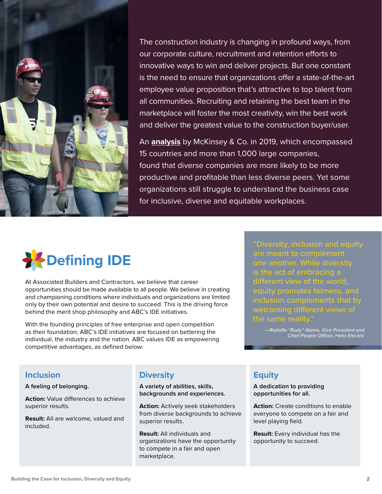

The construction industry is changing in profound ways, from our corporate culture, recruitment and retention efforts to innovative ways to win and deliver projects. But one constant is the need to ensure that organizations offer a state-of-the-art employee value proposition that's attractive to top talent from all communities. Recruiting and retaining the best team in the marketplace will foster the most creativity, win the best work and deliver the greatest value to the construction buyer/user.

An **[analysis](https://www.mckinsey.com/featured-insights/diversity-and-inclusion/diversity-wins-how-inclusion-matters)** by McKinsey & Co. in 2019, which encompassed 15 countries and more than 1,000 large companies, found that diverse companies are more likely to be more productive and profitable than less diverse peers. Yet some organizations still struggle to understand the business case for inclusive, diverse and equitable workplaces.



At Associated Builders and Contractors, we believe that career opportunities should be made available to all people. We believe in creating and championing conditions where individuals and organizations are limited only by their own potential and desire to succeed. This is the driving force behind the merit shop philosophy and ABC's IDE initiatives.

With the founding principles of free enterprise and open competition as their foundation, ABC's IDE initiatives are focused on bettering the individual, the industry and the nation. ABC values IDE as empowering competitive advantages, as defined below:

"Diversity, inclusion and equity are meant to complement one another. While diversity is the act of embracing a equity promotes fairness, and inclusion complements that by welcoming different views of the same reality."

> *—Rodolfo "Rudy" Alanis, Vice President and Chief People Officer, Helix Electric*

# **Inclusion**

#### **A feeling of belonging.**

**Action:** Value differences to achieve superior results.

**Result:** All are welcome, valued and included.

# **Diversity**

**A variety of abilities, skills, backgrounds and experiences.** 

**Action:** Actively seek stakeholders from diverse backgrounds to achieve superior results.

**Result:** All individuals and organizations have the opportunity to compete in a fair and open marketplace.

# **Equity**

**A dedication to providing opportunities for all.**

**Action:** Create conditions to enable everyone to compete on a fair and level playing field.

**Result:** Every individual has the opportunity to succeed.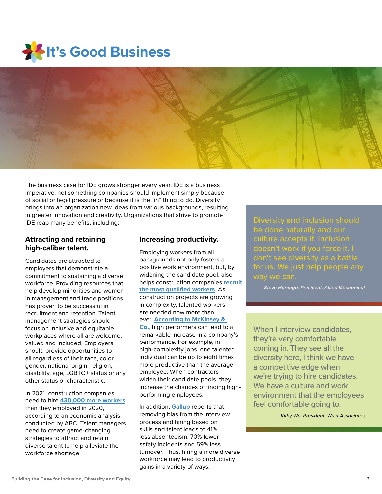



The business case for IDE grows stronger every year. IDE is a business imperative, not something companies should implement simply because of social or legal pressure or because it is the "in" thing to do. Diversity brings into an organization new ideas from various backgrounds, resulting in greater innovation and creativity. Organizations that strive to promote IDE reap many benefits, including:

# **Attracting and retaining high-caliber talent.**

Candidates are attracted to employers that demonstrate a commitment to sustaining a diverse workforce. Providing resources that help develop minorities and women in management and trade positions has proven to be successful in recruitment and retention. Talent management strategies should focus on inclusive and equitable workplaces where all are welcome, valued and included. Employers should provide opportunities to all regardless of their race, color, gender, national origin, religion, disability, age, LGBTQ+ status or any other status or characteristic.

In 2021, construction companies need to hire **[430,000 more workers](https://abc.org/News-Media/News-Releases/entryid/18636/abc-the-construction-industry-needs-to-hire-an-additional-430-000-craft-professionals-in-2021)** than they employed in 2020, according to an economic analysis conducted by ABC. Talent managers need to create game-changing strategies to attract and retain diverse talent to help alleviate the workforce shortage.

## **Increasing productivity.**

Employing workers from all backgrounds not only fosters a positive work environment, but, by widening the candidate pool, also helps construction companies **[recruit](https://www.americanprogress.org/issues/economy/news/2012/07/12/11900/the-top-10-economic-facts-of-diversity-in-the-workplace/) [the most qualified workers](https://www.americanprogress.org/issues/economy/news/2012/07/12/11900/the-top-10-economic-facts-of-diversity-in-the-workplace/)**. As construction projects are growing in complexity, talented workers are needed now more than ever. **[According to McKinsey &](https://www.mckinsey.com/business-functions/organization/our-insights/attracting-and-retaining-the-right-talent)  [Co](https://www.mckinsey.com/business-functions/organization/our-insights/attracting-and-retaining-the-right-talent).**, high performers can lead to a remarkable increase in a company's performance. For example, in high-complexity jobs, one talented individual can be up to eight times more productive than the average employee. When contractors widen their candidate pools, they increase the chances of finding highperforming employees.

In addition, **[Gallup](https://www.gallup.com/workplace/241955/reduce-bias-hire-best-candidate.aspx?g_source=link_WWWV9&g_medium=TOPIC&g_campaign=item_&g_content=How%2520to%2520Reduce%2520Bias%2520and%2520Hire%2520the%2520Best%2520Candidate)** reports that removing bias from the interview process and hiring based on skills and talent leads to 41% less absenteeism, 70% fewer safety incidents and 59% less turnover. Thus, hiring a more diverse workforce may lead to productivity gains in a variety of ways.

be done naturally and our culture accepts it. Inclusion doesn't work if you force it. I don't see diversity as a battle for us. We just help people any

*—Steve Huizinga, President, Allied Mechanical*

When I interview candidates. they're very comfortable coming in. They see all the diversity here, I think we have a competitive edge when we're trying to hire candidates. We have a culture and work environment that the employees feel comfortable going to.

*—Kirby Wu, President, Wu & Associates*